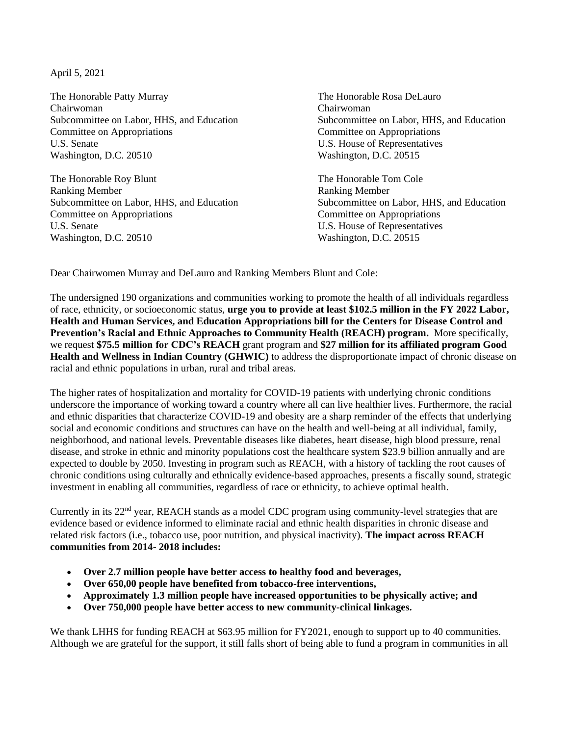April 5, 2021

The Honorable Patty Murray The Honorable Rosa DeLauro Chairwoman Chairwoman Committee on Appropriations Committee on Appropriations U.S. Senate U.S. House of Representatives Washington, D.C. 20510 Washington, D.C. 20515

The Honorable Roy Blunt The Honorable Tom Cole Ranking Member Ranking Member Subcommittee on Labor, HHS, and Education Subcommittee on Labor, HHS, and Education Committee on Appropriations Committee on Appropriations U.S. Senate U.S. House of Representatives Washington, D.C. 20510 Washington, D.C. 20515

Subcommittee on Labor, HHS, and Education Subcommittee on Labor, HHS, and Education

Dear Chairwomen Murray and DeLauro and Ranking Members Blunt and Cole:

The undersigned 190 organizations and communities working to promote the health of all individuals regardless of race, ethnicity, or socioeconomic status, **urge you to provide at least \$102.5 million in the FY 2022 Labor, Health and Human Services, and Education Appropriations bill for the Centers for Disease Control and Prevention's Racial and Ethnic Approaches to Community Health (REACH) program.** More specifically, we request **\$75.5 million for CDC's REACH** grant program and **\$27 million for its affiliated program Good Health and Wellness in Indian Country (GHWIC)** to address the disproportionate impact of chronic disease on racial and ethnic populations in urban, rural and tribal areas.

The higher rates of hospitalization and mortality for COVID-19 patients with underlying chronic conditions underscore the importance of working toward a country where all can live healthier lives. Furthermore, the racial and ethnic disparities that characterize COVID-19 and obesity are a sharp reminder of the effects that underlying social and economic conditions and structures can have on the health and well-being at all individual, family, neighborhood, and national levels. Preventable diseases like diabetes, heart disease, high blood pressure, renal disease, and stroke in ethnic and minority populations cost the healthcare system \$23.9 billion annually and are expected to double by 2050. Investing in program such as REACH, with a history of tackling the root causes of chronic conditions using culturally and ethnically evidence-based approaches, presents a fiscally sound, strategic investment in enabling all communities, regardless of race or ethnicity, to achieve optimal health.

Currently in its 22<sup>nd</sup> year, REACH stands as a model CDC program using community-level strategies that are evidence based or evidence informed to eliminate racial and ethnic health disparities in chronic disease and related risk factors (i.e., tobacco use, poor nutrition, and physical inactivity). **The impact across REACH communities from 2014- 2018 includes:** 

- **Over 2.7 million people have better access to healthy food and beverages,**
- **Over 650,00 people have benefited from tobacco-free interventions,**
- **Approximately 1.3 million people have increased opportunities to be physically active; and**
- **Over 750,000 people have better access to new community-clinical linkages.**

We thank LHHS for funding REACH at \$63.95 million for FY2021, enough to support up to 40 communities. Although we are grateful for the support, it still falls short of being able to fund a program in communities in all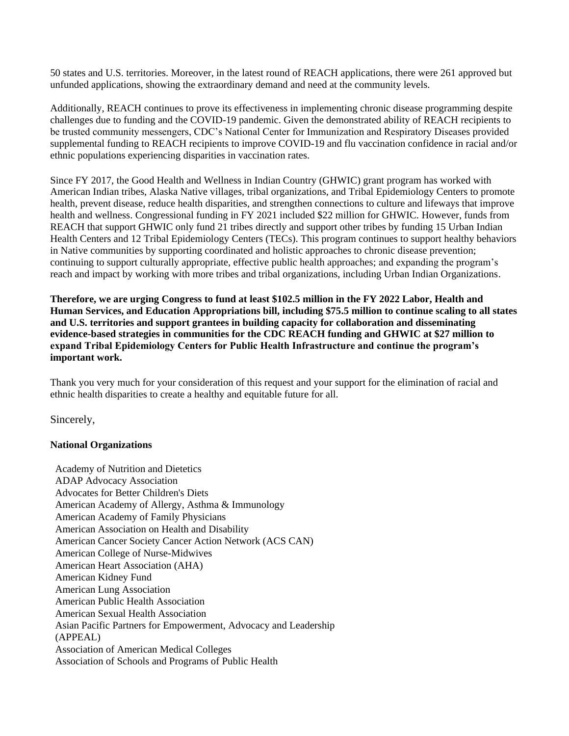50 states and U.S. territories. Moreover, in the latest round of REACH applications, there were 261 approved but unfunded applications, showing the extraordinary demand and need at the community levels.

Additionally, REACH continues to prove its effectiveness in implementing chronic disease programming despite challenges due to funding and the COVID-19 pandemic. Given the demonstrated ability of REACH recipients to be trusted community messengers, CDC's National Center for Immunization and Respiratory Diseases provided supplemental funding to REACH recipients to improve COVID-19 and flu vaccination confidence in racial and/or ethnic populations experiencing disparities in vaccination rates.

Since FY 2017, the Good Health and Wellness in Indian Country (GHWIC) grant program has worked with American Indian tribes, Alaska Native villages, tribal organizations, and Tribal Epidemiology Centers to promote health, prevent disease, reduce health disparities, and strengthen connections to culture and lifeways that improve health and wellness. Congressional funding in FY 2021 included \$22 million for GHWIC. However, funds from REACH that support GHWIC only fund 21 tribes directly and support other tribes by funding 15 Urban Indian Health Centers and 12 Tribal Epidemiology Centers (TECs). This program continues to support healthy behaviors in Native communities by supporting coordinated and holistic approaches to chronic disease prevention; continuing to support culturally appropriate, effective public health approaches; and expanding the program's reach and impact by working with more tribes and tribal organizations, including Urban Indian Organizations.

**Therefore, we are urging Congress to fund at least \$102.5 million in the FY 2022 Labor, Health and Human Services, and Education Appropriations bill, including \$75.5 million to continue scaling to all states and U.S. territories and support grantees in building capacity for collaboration and disseminating evidence-based strategies in communities for the CDC REACH funding and GHWIC at \$27 million to expand Tribal Epidemiology Centers for Public Health Infrastructure and continue the program's important work.**

Thank you very much for your consideration of this request and your support for the elimination of racial and ethnic health disparities to create a healthy and equitable future for all.

Sincerely,

## **National Organizations**

Academy of Nutrition and Dietetics ADAP Advocacy Association Advocates for Better Children's Diets American Academy of Allergy, Asthma & Immunology American Academy of Family Physicians American Association on Health and Disability American Cancer Society Cancer Action Network (ACS CAN) American College of Nurse-Midwives American Heart Association (AHA) American Kidney Fund American Lung Association American Public Health Association American Sexual Health Association Asian Pacific Partners for Empowerment, Advocacy and Leadership (APPEAL) Association of American Medical Colleges Association of Schools and Programs of Public Health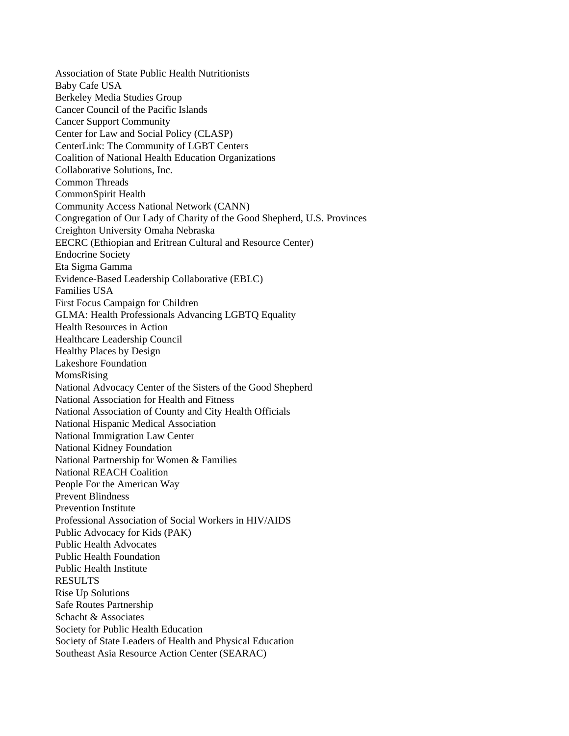Association of State Public Health Nutritionists Baby Cafe USA Berkeley Media Studies Group Cancer Council of the Pacific Islands Cancer Support Community Center for Law and Social Policy (CLASP) CenterLink: The Community of LGBT Centers Coalition of National Health Education Organizations Collaborative Solutions, Inc. Common Threads CommonSpirit Health Community Access National Network (CANN) Congregation of Our Lady of Charity of the Good Shepherd, U.S. Provinces Creighton University Omaha Nebraska EECRC (Ethiopian and Eritrean Cultural and Resource Center) Endocrine Society Eta Sigma Gamma Evidence-Based Leadership Collaborative (EBLC) Families USA First Focus Campaign for Children GLMA: Health Professionals Advancing LGBTQ Equality Health Resources in Action Healthcare Leadership Council Healthy Places by Design Lakeshore Foundation MomsRising National Advocacy Center of the Sisters of the Good Shepherd National Association for Health and Fitness National Association of County and City Health Officials National Hispanic Medical Association National Immigration Law Center National Kidney Foundation National Partnership for Women & Families National REACH Coalition People For the American Way Prevent Blindness Prevention Institute Professional Association of Social Workers in HIV/AIDS Public Advocacy for Kids (PAK) Public Health Advocates Public Health Foundation Public Health Institute RESULTS Rise Up Solutions Safe Routes Partnership Schacht & Associates Society for Public Health Education Society of State Leaders of Health and Physical Education Southeast Asia Resource Action Center (SEARAC)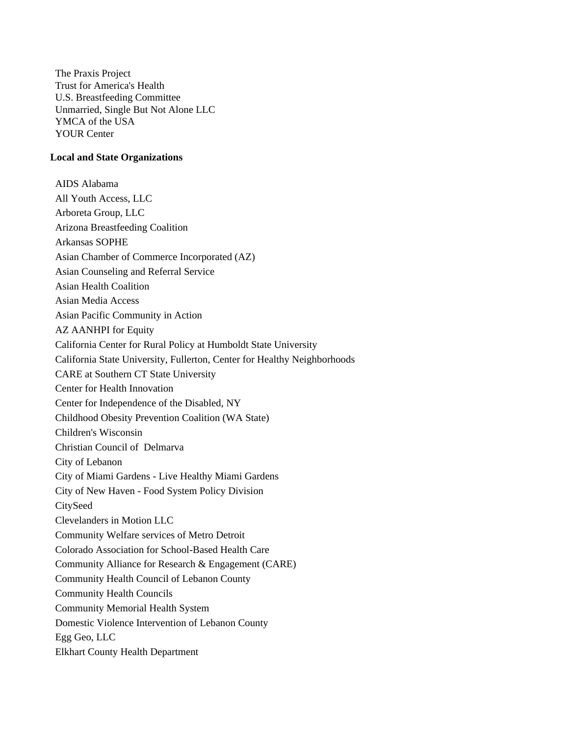The Praxis Project Trust for America's Health U.S. Breastfeeding Committee Unmarried, Single But Not Alone LLC YMCA of the USA YOUR Center

## **Local and State Organizations**

AIDS Alabama All Youth Access, LLC Arboreta Group, LLC Arizona Breastfeeding Coalition Arkansas SOPHE Asian Chamber of Commerce Incorporated (AZ) Asian Counseling and Referral Service Asian Health Coalition Asian Media Access Asian Pacific Community in Action AZ AANHPI for Equity California Center for Rural Policy at Humboldt State University California State University, Fullerton, Center for Healthy Neighborhoods CARE at Southern CT State University Center for Health Innovation Center for Independence of the Disabled, NY Childhood Obesity Prevention Coalition (WA State) Children's Wisconsin Christian Council of Delmarva City of Lebanon City of Miami Gardens - Live Healthy Miami Gardens City of New Haven - Food System Policy Division **CitySeed** Clevelanders in Motion LLC Community Welfare services of Metro Detroit Colorado Association for School-Based Health Care Community Alliance for Research & Engagement (CARE) Community Health Council of Lebanon County Community Health Councils Community Memorial Health System Domestic Violence Intervention of Lebanon County Egg Geo, LLC Elkhart County Health Department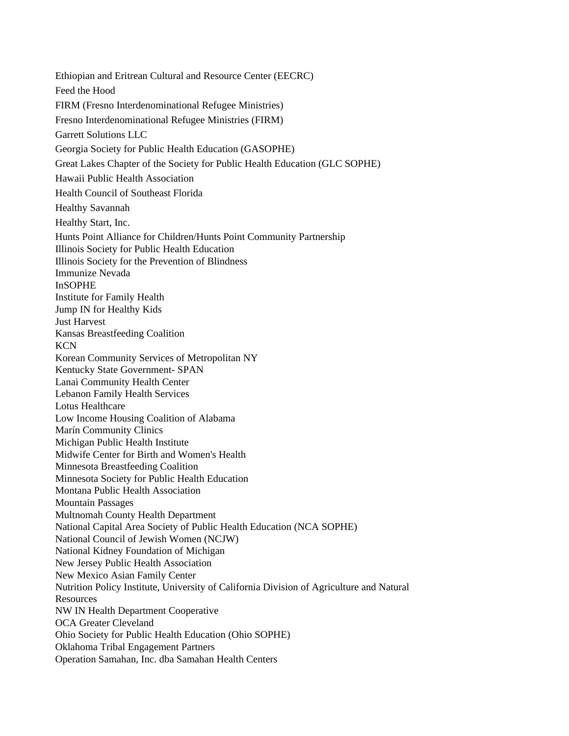Ethiopian and Eritrean Cultural and Resource Center (EECRC) Feed the Hood FIRM (Fresno Interdenominational Refugee Ministries) Fresno Interdenominational Refugee Ministries (FIRM) Garrett Solutions LLC Georgia Society for Public Health Education (GASOPHE) Great Lakes Chapter of the Society for Public Health Education (GLC SOPHE) Hawaii Public Health Association Health Council of Southeast Florida Healthy Savannah Healthy Start, Inc. Hunts Point Alliance for Children/Hunts Point Community Partnership Illinois Society for Public Health Education Illinois Society for the Prevention of Blindness Immunize Nevada InSOPHE Institute for Family Health Jump IN for Healthy Kids Just Harvest Kansas Breastfeeding Coalition KCN Korean Community Services of Metropolitan NY Kentucky State Government- SPAN Lanai Community Health Center Lebanon Family Health Services Lotus Healthcare Low Income Housing Coalition of Alabama Marín Community Clinics Michigan Public Health Institute Midwife Center for Birth and Women's Health Minnesota Breastfeeding Coalition Minnesota Society for Public Health Education Montana Public Health Association Mountain Passages Multnomah County Health Department National Capital Area Society of Public Health Education (NCA SOPHE) National Council of Jewish Women (NCJW) National Kidney Foundation of Michigan New Jersey Public Health Association New Mexico Asian Family Center Nutrition Policy Institute, University of California Division of Agriculture and Natural **Resources** NW IN Health Department Cooperative OCA Greater Cleveland Ohio Society for Public Health Education (Ohio SOPHE) Oklahoma Tribal Engagement Partners Operation Samahan, Inc. dba Samahan Health Centers